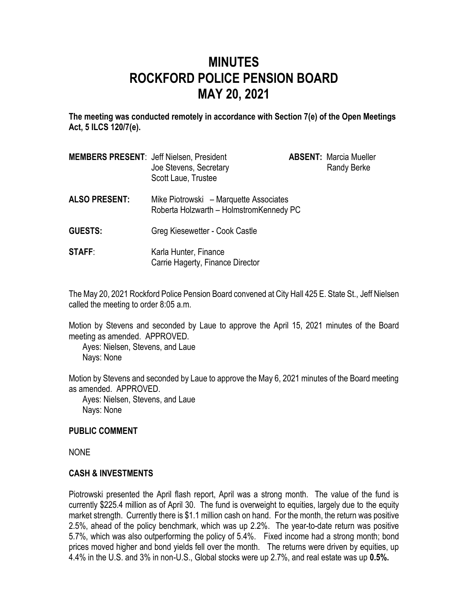# **MINUTES ROCKFORD POLICE PENSION BOARD MAY 20, 2021**

**The meeting was conducted remotely in accordance with Section 7(e) of the Open Meetings Act, 5 ILCS 120/7(e).**

| <b>MEMBERS PRESENT: Jeff Nielsen, President</b> | Joe Stevens, Secretary<br>Scott Laue, Trustee                                      | <b>ABSENT: Marcia Mueller</b><br><b>Randy Berke</b> |
|-------------------------------------------------|------------------------------------------------------------------------------------|-----------------------------------------------------|
| <b>ALSO PRESENT:</b>                            | Mike Piotrowski – Marquette Associates<br>Roberta Holzwarth - Holmstrom Kennedy PC |                                                     |
| <b>GUESTS:</b>                                  | Greg Kiesewetter - Cook Castle                                                     |                                                     |
| <b>STAFF:</b>                                   | Karla Hunter, Finance<br>Carrie Hagerty, Finance Director                          |                                                     |

The May 20, 2021 Rockford Police Pension Board convened at City Hall 425 E. State St., Jeff Nielsen called the meeting to order 8:05 a.m.

Motion by Stevens and seconded by Laue to approve the April 15, 2021 minutes of the Board meeting as amended. APPROVED.

Ayes: Nielsen, Stevens, and Laue Nays: None

Motion by Stevens and seconded by Laue to approve the May 6, 2021 minutes of the Board meeting as amended. APPROVED.

Ayes: Nielsen, Stevens, and Laue Nays: None

#### **PUBLIC COMMENT**

NONE

#### **CASH & INVESTMENTS**

Piotrowski presented the April flash report, April was a strong month. The value of the fund is currently \$225.4 million as of April 30. The fund is overweight to equities, largely due to the equity market strength. Currently there is \$1.1 million cash on hand. For the month, the return was positive 2.5%, ahead of the policy benchmark, which was up 2.2%. The year-to-date return was positive 5.7%, which was also outperforming the policy of 5.4%. Fixed income had a strong month; bond prices moved higher and bond yields fell over the month. The returns were driven by equities, up 4.4% in the U.S. and 3% in non-U.S., Global stocks were up 2.7%, and real estate was up **0.5%.**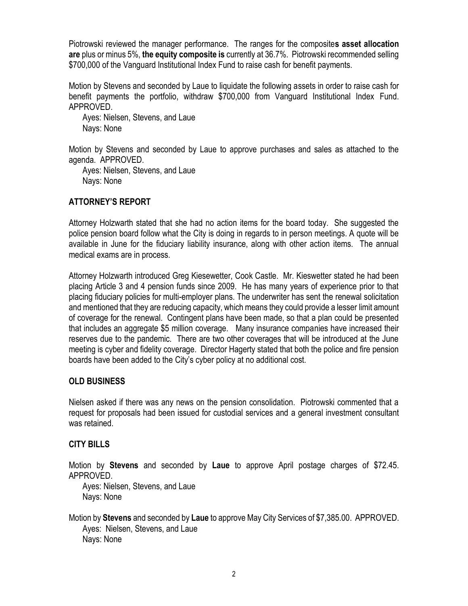Piotrowski reviewed the manager performance. The ranges for the composite**s asset allocation are** plus or minus 5%, **the equity composite is** currently at 36.7%. Piotrowski recommended selling \$700,000 of the Vanguard Institutional Index Fund to raise cash for benefit payments.

Motion by Stevens and seconded by Laue to liquidate the following assets in order to raise cash for benefit payments the portfolio, withdraw \$700,000 from Vanguard Institutional Index Fund. APPROVED.

Ayes: Nielsen, Stevens, and Laue Nays: None

Motion by Stevens and seconded by Laue to approve purchases and sales as attached to the agenda. APPROVED.

Ayes: Nielsen, Stevens, and Laue Nays: None

### **ATTORNEY'S REPORT**

Attorney Holzwarth stated that she had no action items for the board today. She suggested the police pension board follow what the City is doing in regards to in person meetings. A quote will be available in June for the fiduciary liability insurance, along with other action items. The annual medical exams are in process.

Attorney Holzwarth introduced Greg Kiesewetter, Cook Castle. Mr. Kieswetter stated he had been placing Article 3 and 4 pension funds since 2009. He has many years of experience prior to that placing fiduciary policies for multi-employer plans. The underwriter has sent the renewal solicitation and mentioned that they are reducing capacity, which means they could provide a lesser limit amount of coverage for the renewal. Contingent plans have been made, so that a plan could be presented that includes an aggregate \$5 million coverage. Many insurance companies have increased their reserves due to the pandemic. There are two other coverages that will be introduced at the June meeting is cyber and fidelity coverage. Director Hagerty stated that both the police and fire pension boards have been added to the City's cyber policy at no additional cost.

#### **OLD BUSINESS**

Nielsen asked if there was any news on the pension consolidation. Piotrowski commented that a request for proposals had been issued for custodial services and a general investment consultant was retained.

#### **CITY BILLS**

Motion by **Stevens** and seconded by **Laue** to approve April postage charges of \$72.45. APPROVED.

Ayes: Nielsen, Stevens, and Laue Nays: None

Motion by **Stevens** and seconded by **Laue** to approve May City Services of \$7,385.00. APPROVED. Ayes: Nielsen, Stevens, and Laue Nays: None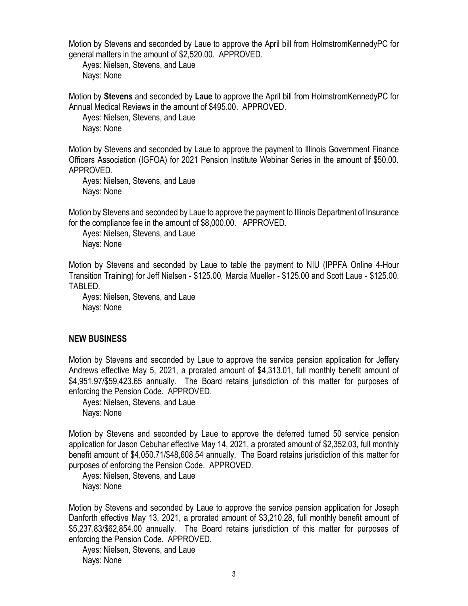Motion by Stevens and seconded by Laue to approve the April bill from HolmstromKennedyPC for general matters in the amount of \$2,520.00. APPROVED.

Ayes: Nielsen, Stevens, and Laue Nays: None

Motion by **Stevens** and seconded by **Laue** to approve the April bill from HolmstromKennedyPC for Annual Medical Reviews in the amount of \$495.00. APPROVED.

Ayes: Nielsen, Stevens, and Laue Nays: None

Motion by Stevens and seconded by Laue to approve the payment to Illinois Government Finance Officers Association (IGFOA) for 2021 Pension Institute Webinar Series in the amount of \$50.00. APPROVED.

Ayes: Nielsen, Stevens, and Laue Nays: None

Motion by Stevens and seconded by Laue to approve the payment to Illinois Department of Insurance for the compliance fee in the amount of \$8,000.00. APPROVED.

Ayes: Nielsen, Stevens, and Laue Nays: None

Motion by Stevens and seconded by Laue to table the payment to NIU (IPPFA Online 4-Hour Transition Training) for Jeff Nielsen - \$125.00, Marcia Mueller - \$125.00 and Scott Laue - \$125.00. TABLED.

Ayes: Nielsen, Stevens, and Laue Nays: None

#### **NEW BUSINESS**

Motion by Stevens and seconded by Laue to approve the service pension application for Jeffery Andrews effective May 5, 2021, a prorated amount of \$4,313.01, full monthly benefit amount of \$4,951.97/\$59,423.65 annually. The Board retains jurisdiction of this matter for purposes of enforcing the Pension Code. APPROVED.

Ayes: Nielsen, Stevens, and Laue Nays: None

Motion by Stevens and seconded by Laue to approve the deferred turned 50 service pension application for Jason Cebuhar effective May 14, 2021, a prorated amount of \$2,352.03, full monthly benefit amount of \$4,050.71/\$48,608.54 annually. The Board retains jurisdiction of this matter for purposes of enforcing the Pension Code. APPROVED.

Ayes: Nielsen, Stevens, and Laue Nays: None

Motion by Stevens and seconded by Laue to approve the service pension application for Joseph Danforth effective May 13, 2021, a prorated amount of \$3,210.28, full monthly benefit amount of \$5,237.83/\$62,854.00 annually. The Board retains jurisdiction of this matter for purposes of enforcing the Pension Code. APPROVED.

Ayes: Nielsen, Stevens, and Laue Nays: None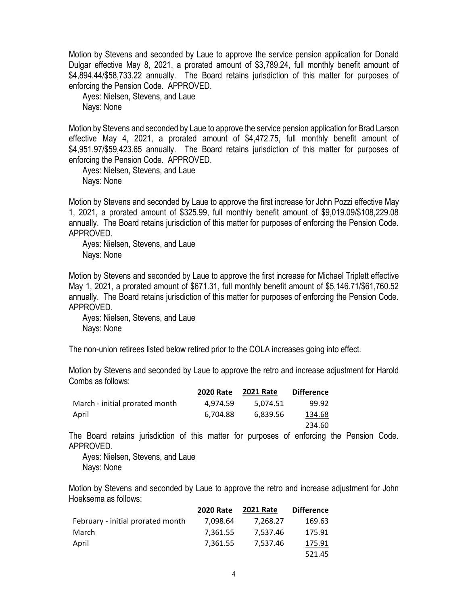Motion by Stevens and seconded by Laue to approve the service pension application for Donald Dulgar effective May 8, 2021, a prorated amount of \$3,789.24, full monthly benefit amount of \$4,894.44/\$58,733.22 annually. The Board retains jurisdiction of this matter for purposes of enforcing the Pension Code. APPROVED.

Ayes: Nielsen, Stevens, and Laue Nays: None

Motion by Stevens and seconded by Laue to approve the service pension application for Brad Larson effective May 4, 2021, a prorated amount of \$4,472.75, full monthly benefit amount of \$4,951.97/\$59,423.65 annually. The Board retains jurisdiction of this matter for purposes of enforcing the Pension Code. APPROVED.

Ayes: Nielsen, Stevens, and Laue Nays: None

Motion by Stevens and seconded by Laue to approve the first increase for John Pozzi effective May 1, 2021, a prorated amount of \$325.99, full monthly benefit amount of \$9,019.09/\$108,229.08 annually. The Board retains jurisdiction of this matter for purposes of enforcing the Pension Code. APPROVED.

Ayes: Nielsen, Stevens, and Laue Nays: None

Motion by Stevens and seconded by Laue to approve the first increase for Michael Triplett effective May 1, 2021, a prorated amount of \$671.31, full monthly benefit amount of \$5,146.71/\$61,760.52 annually. The Board retains jurisdiction of this matter for purposes of enforcing the Pension Code. APPROVED.

Ayes: Nielsen, Stevens, and Laue Nays: None

The non-union retirees listed below retired prior to the COLA increases going into effect.

Motion by Stevens and seconded by Laue to approve the retro and increase adjustment for Harold Combs as follows:

|                                | <b>2020 Rate</b> | <b>2021 Rate</b> | <b>Difference</b> |
|--------------------------------|------------------|------------------|-------------------|
| March - initial prorated month | 4.974.59         | 5.074.51         | 99.92             |
| April                          | 6.704.88         | 6,839.56         | 134.68            |
|                                |                  |                  | 234.60            |

The Board retains jurisdiction of this matter for purposes of enforcing the Pension Code. APPROVED.

Ayes: Nielsen, Stevens, and Laue Nays: None

Motion by Stevens and seconded by Laue to approve the retro and increase adjustment for John Hoeksema as follows:

|                                   | <b>2020 Rate</b> | <b>2021 Rate</b> | <b>Difference</b> |
|-----------------------------------|------------------|------------------|-------------------|
| February - initial prorated month | 7.098.64         | 7.268.27         | 169.63            |
| March                             | 7.361.55         | 7,537.46         | 175.91            |
| April                             | 7.361.55         | 7.537.46         | 175.91            |
|                                   |                  |                  | 521.45            |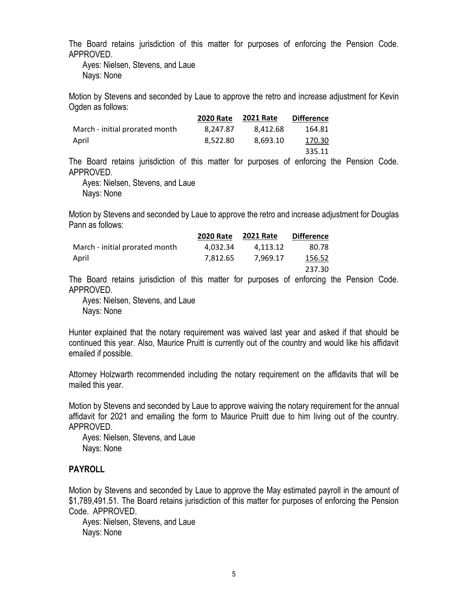The Board retains jurisdiction of this matter for purposes of enforcing the Pension Code. APPROVED.

Ayes: Nielsen, Stevens, and Laue Nays: None

Motion by Stevens and seconded by Laue to approve the retro and increase adjustment for Kevin Ogden as follows:

|                                | <b>2020 Rate</b> | <b>2021 Rate</b> | <b>Difference</b> |
|--------------------------------|------------------|------------------|-------------------|
| March - initial prorated month | 8.247.87         | 8.412.68         | 164.81            |
| April                          | 8.522.80         | 8.693.10         | 170.30            |
|                                |                  |                  | 335.11            |

The Board retains jurisdiction of this matter for purposes of enforcing the Pension Code. APPROVED.

Ayes: Nielsen, Stevens, and Laue Nays: None

Motion by Stevens and seconded by Laue to approve the retro and increase adjustment for Douglas Pann as follows:

|                                | <b>2020 Rate</b> | <b>2021 Rate</b> | <b>Difference</b> |
|--------------------------------|------------------|------------------|-------------------|
| March - initial prorated month | 4.032.34         | 4.113.12         | 80.78             |
| April                          | 7.812.65         | 7.969.17         | 156.52            |
|                                |                  |                  | 237.30            |

The Board retains jurisdiction of this matter for purposes of enforcing the Pension Code. APPROVED.

Ayes: Nielsen, Stevens, and Laue Nays: None

Hunter explained that the notary requirement was waived last year and asked if that should be continued this year. Also, Maurice Pruitt is currently out of the country and would like his affidavit emailed if possible.

Attorney Holzwarth recommended including the notary requirement on the affidavits that will be mailed this year.

Motion by Stevens and seconded by Laue to approve waiving the notary requirement for the annual affidavit for 2021 and emailing the form to Maurice Pruitt due to him living out of the country. APPROVED.

Ayes: Nielsen, Stevens, and Laue Nays: None

## **PAYROLL**

Motion by Stevens and seconded by Laue to approve the May estimated payroll in the amount of \$1,789,491.51. The Board retains jurisdiction of this matter for purposes of enforcing the Pension Code. APPROVED.

Ayes: Nielsen, Stevens, and Laue Nays: None